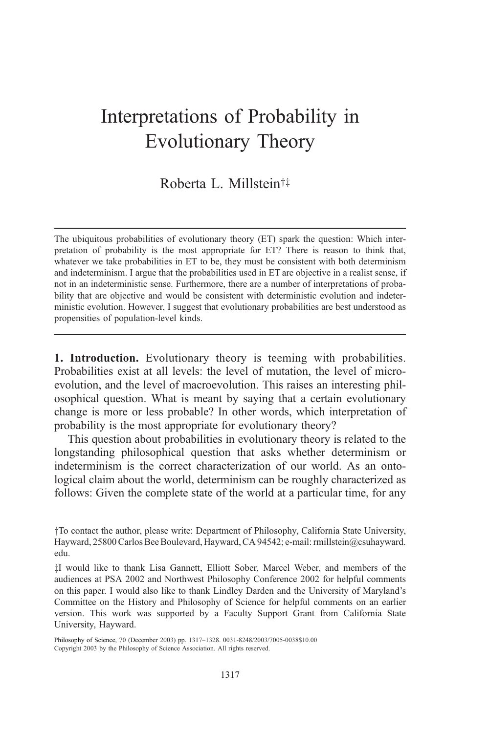## Interpretations of Probability in Evolutionary Theory

Roberta L. Millstein<sup>†‡</sup>

The ubiquitous probabilities of evolutionary theory (ET) spark the question: Which interpretation of probability is the most appropriate for ET? There is reason to think that, whatever we take probabilities in ET to be, they must be consistent with both determinism and indeterminism. I argue that the probabilities used in ET are objective in a realist sense, if not in an indeterministic sense. Furthermore, there are a number of interpretations of probability that are objective and would be consistent with deterministic evolution and indeterministic evolution. However, I suggest that evolutionary probabilities are best understood as propensities of population-level kinds.

1. Introduction. Evolutionary theory is teeming with probabilities. Probabilities exist at all levels: the level of mutation, the level of microevolution, and the level of macroevolution. This raises an interesting philosophical question. What is meant by saying that a certain evolutionary change is more or less probable? In other words, which interpretation of probability is the most appropriate for evolutionary theory?

This question about probabilities in evolutionary theory is related to the longstanding philosophical question that asks whether determinism or indeterminism is the correct characterization of our world. As an ontological claim about the world, determinism can be roughly characterized as follows: Given the complete state of the world at a particular time, for any

<sup>†</sup>To contact the author, please write: Department of Philosophy, California State University, Hayward, 25800 Carlos Bee Boulevard, Hayward, CA 94542; e-mail: rmillstein@csuhayward. edu.

zI would like to thank Lisa Gannett, Elliott Sober, Marcel Weber, and members of the audiences at PSA 2002 and Northwest Philosophy Conference 2002 for helpful comments on this paper. I would also like to thank Lindley Darden and the University of Maryland's Committee on the History and Philosophy of Science for helpful comments on an earlier version. This work was supported by a Faculty Support Grant from California State University, Hayward.

Philosophy of Science, 70 (December 2003) pp. 1317–1328. 0031-8248/2003/7005-0038\$10.00 Copyright 2003 by the Philosophy of Science Association. All rights reserved.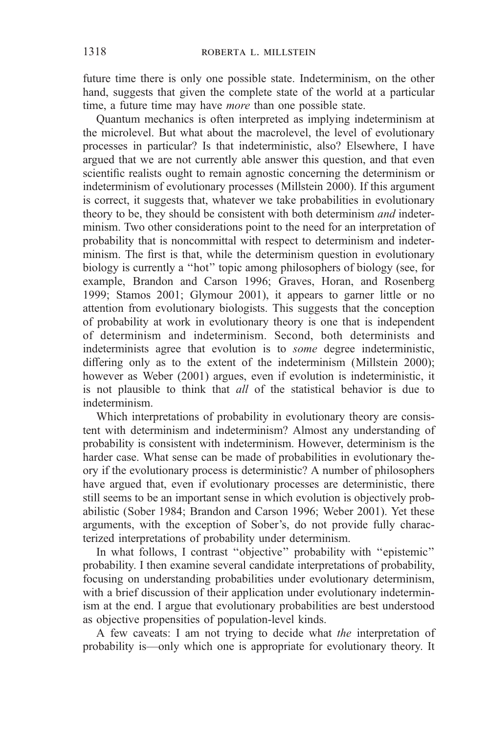future time there is only one possible state. Indeterminism, on the other hand, suggests that given the complete state of the world at a particular time, a future time may have *more* than one possible state.

Quantum mechanics is often interpreted as implying indeterminism at the microlevel. But what about the macrolevel, the level of evolutionary processes in particular? Is that indeterministic, also? Elsewhere, I have argued that we are not currently able answer this question, and that even scientific realists ought to remain agnostic concerning the determinism or indeterminism of evolutionary processes (Millstein 2000). If this argument is correct, it suggests that, whatever we take probabilities in evolutionary theory to be, they should be consistent with both determinism *and* indeterminism. Two other considerations point to the need for an interpretation of probability that is noncommittal with respect to determinism and indeterminism. The first is that, while the determinism question in evolutionary biology is currently a ''hot'' topic among philosophers of biology (see, for example, Brandon and Carson 1996; Graves, Horan, and Rosenberg 1999; Stamos 2001; Glymour 2001), it appears to garner little or no attention from evolutionary biologists. This suggests that the conception of probability at work in evolutionary theory is one that is independent of determinism and indeterminism. Second, both determinists and indeterminists agree that evolution is to some degree indeterministic, differing only as to the extent of the indeterminism (Millstein 2000); however as Weber (2001) argues, even if evolution is indeterministic, it is not plausible to think that all of the statistical behavior is due to indeterminism.

Which interpretations of probability in evolutionary theory are consistent with determinism and indeterminism? Almost any understanding of probability is consistent with indeterminism. However, determinism is the harder case. What sense can be made of probabilities in evolutionary theory if the evolutionary process is deterministic? A number of philosophers have argued that, even if evolutionary processes are deterministic, there still seems to be an important sense in which evolution is objectively probabilistic (Sober 1984; Brandon and Carson 1996; Weber 2001). Yet these arguments, with the exception of Sober's, do not provide fully characterized interpretations of probability under determinism.

In what follows, I contrast ''objective'' probability with ''epistemic'' probability. I then examine several candidate interpretations of probability, focusing on understanding probabilities under evolutionary determinism, with a brief discussion of their application under evolutionary indeterminism at the end. I argue that evolutionary probabilities are best understood as objective propensities of population-level kinds.

A few caveats: I am not trying to decide what the interpretation of probability is—only which one is appropriate for evolutionary theory. It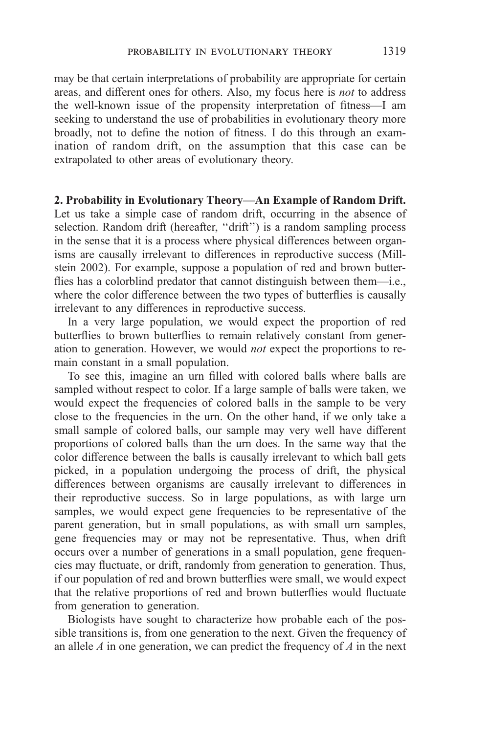may be that certain interpretations of probability are appropriate for certain areas, and different ones for others. Also, my focus here is not to address the well-known issue of the propensity interpretation of fitness—I am seeking to understand the use of probabilities in evolutionary theory more broadly, not to define the notion of fitness. I do this through an examination of random drift, on the assumption that this case can be extrapolated to other areas of evolutionary theory.

2. Probability in Evolutionary Theory—An Example of Random Drift. Let us take a simple case of random drift, occurring in the absence of selection. Random drift (hereafter, "drift") is a random sampling process in the sense that it is a process where physical differences between organisms are causally irrelevant to differences in reproductive success (Millstein 2002). For example, suppose a population of red and brown butterflies has a colorblind predator that cannot distinguish between them—i.e., where the color difference between the two types of butterflies is causally irrelevant to any differences in reproductive success.

In a very large population, we would expect the proportion of red butterflies to brown butterflies to remain relatively constant from generation to generation. However, we would not expect the proportions to remain constant in a small population.

To see this, imagine an urn filled with colored balls where balls are sampled without respect to color. If a large sample of balls were taken, we would expect the frequencies of colored balls in the sample to be very close to the frequencies in the urn. On the other hand, if we only take a small sample of colored balls, our sample may very well have different proportions of colored balls than the urn does. In the same way that the color difference between the balls is causally irrelevant to which ball gets picked, in a population undergoing the process of drift, the physical differences between organisms are causally irrelevant to differences in their reproductive success. So in large populations, as with large urn samples, we would expect gene frequencies to be representative of the parent generation, but in small populations, as with small urn samples, gene frequencies may or may not be representative. Thus, when drift occurs over a number of generations in a small population, gene frequencies may fluctuate, or drift, randomly from generation to generation. Thus, if our population of red and brown butterflies were small, we would expect that the relative proportions of red and brown butterflies would fluctuate from generation to generation.

Biologists have sought to characterize how probable each of the possible transitions is, from one generation to the next. Given the frequency of an allele  $A$  in one generation, we can predict the frequency of  $A$  in the next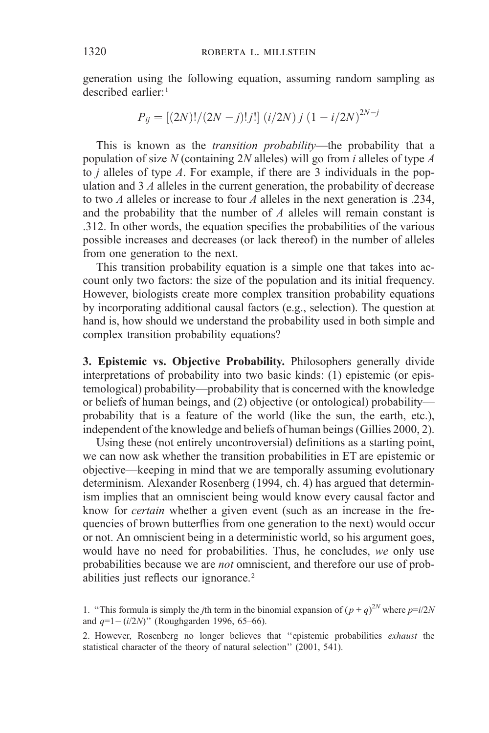generation using the following equation, assuming random sampling as described earlier:<sup>1</sup>

$$
P_{ij} = [(2N)!/(2N-j)!j!] (i/2N) j (1 - i/2N)^{2N-j}
$$

This is known as the *transition probability*—the probability that a population of size N (containing 2N alleles) will go from i alleles of type  $A$ to  $j$  alleles of type  $A$ . For example, if there are 3 individuals in the population and 3 A alleles in the current generation, the probability of decrease to two  $A$  alleles or increase to four  $A$  alleles in the next generation is .234, and the probability that the number of  $A$  alleles will remain constant is .312. In other words, the equation specifies the probabilities of the various possible increases and decreases (or lack thereof) in the number of alleles from one generation to the next.

This transition probability equation is a simple one that takes into account only two factors: the size of the population and its initial frequency. However, biologists create more complex transition probability equations by incorporating additional causal factors (e.g., selection). The question at hand is, how should we understand the probability used in both simple and complex transition probability equations?

3. Epistemic vs. Objective Probability. Philosophers generally divide interpretations of probability into two basic kinds: (1) epistemic (or epistemological) probability—probability that is concerned with the knowledge or beliefs of human beings, and (2) objective (or ontological) probability probability that is a feature of the world (like the sun, the earth, etc.), independent of the knowledge and beliefs of human beings (Gillies 2000, 2).

Using these (not entirely uncontroversial) definitions as a starting point, we can now ask whether the transition probabilities in ET are epistemic or objective—keeping in mind that we are temporally assuming evolutionary determinism. Alexander Rosenberg (1994, ch. 4) has argued that determinism implies that an omniscient being would know every causal factor and know for certain whether a given event (such as an increase in the frequencies of brown butterflies from one generation to the next) would occur or not. An omniscient being in a deterministic world, so his argument goes, would have no need for probabilities. Thus, he concludes, we only use probabilities because we are not omniscient, and therefore our use of probabilities just reflects our ignorance.<sup>2</sup>

<sup>1. &</sup>quot;This formula is simply the *j*th term in the binomial expansion of  $(p + q)^{2N}$  where  $p=i/2N$ and  $q=1-(i/2N)$ " (Roughgarden 1996, 65–66).

<sup>2.</sup> However, Rosenberg no longer believes that ''epistemic probabilities exhaust the statistical character of the theory of natural selection'' (2001, 541).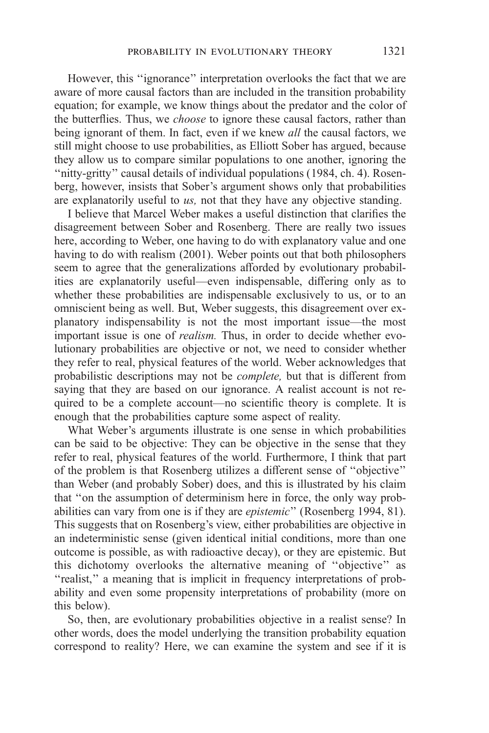However, this ''ignorance'' interpretation overlooks the fact that we are aware of more causal factors than are included in the transition probability equation; for example, we know things about the predator and the color of the butterflies. Thus, we choose to ignore these causal factors, rather than being ignorant of them. In fact, even if we knew *all* the causal factors, we still might choose to use probabilities, as Elliott Sober has argued, because they allow us to compare similar populations to one another, ignoring the "nitty-gritty" causal details of individual populations (1984, ch. 4). Rosenberg, however, insists that Sober's argument shows only that probabilities are explanatorily useful to us, not that they have any objective standing.

I believe that Marcel Weber makes a useful distinction that clarifies the disagreement between Sober and Rosenberg. There are really two issues here, according to Weber, one having to do with explanatory value and one having to do with realism (2001). Weber points out that both philosophers seem to agree that the generalizations afforded by evolutionary probabilities are explanatorily useful—even indispensable, differing only as to whether these probabilities are indispensable exclusively to us, or to an omniscient being as well. But, Weber suggests, this disagreement over explanatory indispensability is not the most important issue—the most important issue is one of realism. Thus, in order to decide whether evolutionary probabilities are objective or not, we need to consider whether they refer to real, physical features of the world. Weber acknowledges that probabilistic descriptions may not be complete, but that is different from saying that they are based on our ignorance. A realist account is not required to be a complete account—no scientific theory is complete. It is enough that the probabilities capture some aspect of reality.

What Weber's arguments illustrate is one sense in which probabilities can be said to be objective: They can be objective in the sense that they refer to real, physical features of the world. Furthermore, I think that part of the problem is that Rosenberg utilizes a different sense of ''objective'' than Weber (and probably Sober) does, and this is illustrated by his claim that ''on the assumption of determinism here in force, the only way probabilities can vary from one is if they are epistemic'' (Rosenberg 1994, 81). This suggests that on Rosenberg's view, either probabilities are objective in an indeterministic sense (given identical initial conditions, more than one outcome is possible, as with radioactive decay), or they are epistemic. But this dichotomy overlooks the alternative meaning of ''objective'' as "realist," a meaning that is implicit in frequency interpretations of probability and even some propensity interpretations of probability (more on this below).

So, then, are evolutionary probabilities objective in a realist sense? In other words, does the model underlying the transition probability equation correspond to reality? Here, we can examine the system and see if it is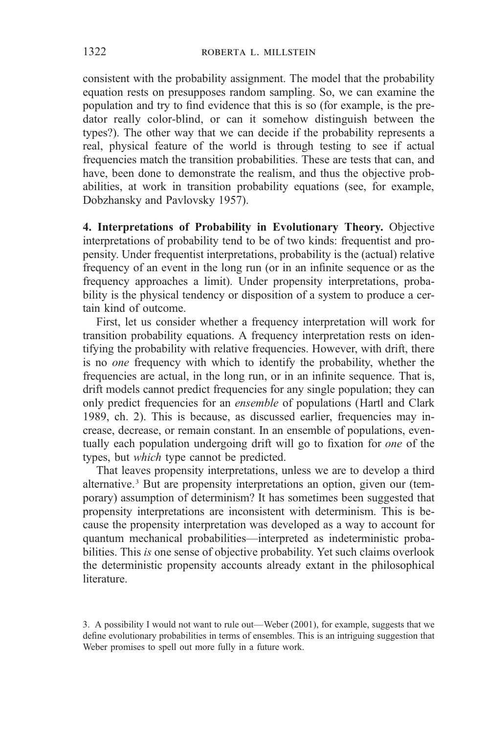consistent with the probability assignment. The model that the probability equation rests on presupposes random sampling. So, we can examine the population and try to find evidence that this is so (for example, is the predator really color-blind, or can it somehow distinguish between the types?). The other way that we can decide if the probability represents a real, physical feature of the world is through testing to see if actual frequencies match the transition probabilities. These are tests that can, and have, been done to demonstrate the realism, and thus the objective probabilities, at work in transition probability equations (see, for example, Dobzhansky and Pavlovsky 1957).

4. Interpretations of Probability in Evolutionary Theory. Objective interpretations of probability tend to be of two kinds: frequentist and propensity. Under frequentist interpretations, probability is the (actual) relative frequency of an event in the long run (or in an infinite sequence or as the frequency approaches a limit). Under propensity interpretations, probability is the physical tendency or disposition of a system to produce a certain kind of outcome.

First, let us consider whether a frequency interpretation will work for transition probability equations. A frequency interpretation rests on identifying the probability with relative frequencies. However, with drift, there is no one frequency with which to identify the probability, whether the frequencies are actual, in the long run, or in an infinite sequence. That is, drift models cannot predict frequencies for any single population; they can only predict frequencies for an ensemble of populations (Hartl and Clark 1989, ch. 2). This is because, as discussed earlier, frequencies may increase, decrease, or remain constant. In an ensemble of populations, eventually each population undergoing drift will go to fixation for *one* of the types, but which type cannot be predicted.

That leaves propensity interpretations, unless we are to develop a third alternative.3 But are propensity interpretations an option, given our (temporary) assumption of determinism? It has sometimes been suggested that propensity interpretations are inconsistent with determinism. This is because the propensity interpretation was developed as a way to account for quantum mechanical probabilities—interpreted as indeterministic probabilities. This is one sense of objective probability. Yet such claims overlook the deterministic propensity accounts already extant in the philosophical literature.

<sup>3.</sup> A possibility I would not want to rule out—Weber (2001), for example, suggests that we define evolutionary probabilities in terms of ensembles. This is an intriguing suggestion that Weber promises to spell out more fully in a future work.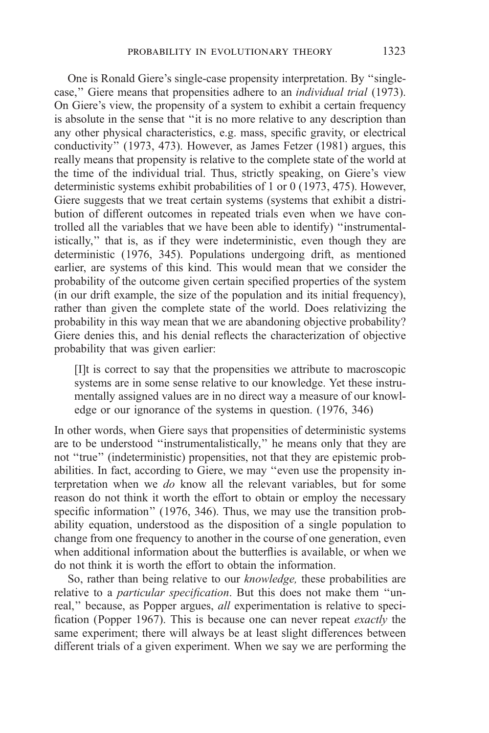One is Ronald Giere's single-case propensity interpretation. By ''singlecase,'' Giere means that propensities adhere to an individual trial (1973). On Giere's view, the propensity of a system to exhibit a certain frequency is absolute in the sense that ''it is no more relative to any description than any other physical characteristics, e.g. mass, specific gravity, or electrical conductivity'' (1973, 473). However, as James Fetzer (1981) argues, this really means that propensity is relative to the complete state of the world at the time of the individual trial. Thus, strictly speaking, on Giere's view deterministic systems exhibit probabilities of 1 or 0 (1973, 475). However, Giere suggests that we treat certain systems (systems that exhibit a distribution of different outcomes in repeated trials even when we have controlled all the variables that we have been able to identify) ''instrumentalistically,'' that is, as if they were indeterministic, even though they are deterministic (1976, 345). Populations undergoing drift, as mentioned earlier, are systems of this kind. This would mean that we consider the probability of the outcome given certain specified properties of the system (in our drift example, the size of the population and its initial frequency), rather than given the complete state of the world. Does relativizing the probability in this way mean that we are abandoning objective probability? Giere denies this, and his denial reflects the characterization of objective probability that was given earlier:

[I]t is correct to say that the propensities we attribute to macroscopic systems are in some sense relative to our knowledge. Yet these instrumentally assigned values are in no direct way a measure of our knowledge or our ignorance of the systems in question. (1976, 346)

In other words, when Giere says that propensities of deterministic systems are to be understood ''instrumentalistically,'' he means only that they are not ''true'' (indeterministic) propensities, not that they are epistemic probabilities. In fact, according to Giere, we may ''even use the propensity interpretation when we do know all the relevant variables, but for some reason do not think it worth the effort to obtain or employ the necessary specific information" (1976, 346). Thus, we may use the transition probability equation, understood as the disposition of a single population to change from one frequency to another in the course of one generation, even when additional information about the butterflies is available, or when we do not think it is worth the effort to obtain the information.

So, rather than being relative to our knowledge, these probabilities are relative to a *particular specification*. But this does not make them "unreal," because, as Popper argues, *all* experimentation is relative to specification (Popper 1967). This is because one can never repeat exactly the same experiment; there will always be at least slight differences between different trials of a given experiment. When we say we are performing the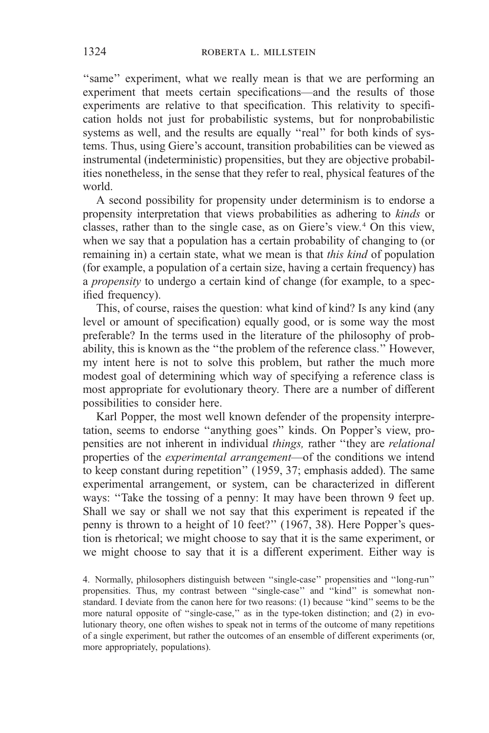"same" experiment, what we really mean is that we are performing an experiment that meets certain specifications—and the results of those experiments are relative to that specification. This relativity to specification holds not just for probabilistic systems, but for nonprobabilistic systems as well, and the results are equally "real" for both kinds of systems. Thus, using Giere's account, transition probabilities can be viewed as instrumental (indeterministic) propensities, but they are objective probabilities nonetheless, in the sense that they refer to real, physical features of the world.

A second possibility for propensity under determinism is to endorse a propensity interpretation that views probabilities as adhering to kinds or classes, rather than to the single case, as on Giere's view.<sup>4</sup> On this view, when we say that a population has a certain probability of changing to (or remaining in) a certain state, what we mean is that *this kind* of population (for example, a population of a certain size, having a certain frequency) has a propensity to undergo a certain kind of change (for example, to a specified frequency).

This, of course, raises the question: what kind of kind? Is any kind (any level or amount of specification) equally good, or is some way the most preferable? In the terms used in the literature of the philosophy of probability, this is known as the ''the problem of the reference class.'' However, my intent here is not to solve this problem, but rather the much more modest goal of determining which way of specifying a reference class is most appropriate for evolutionary theory. There are a number of different possibilities to consider here.

Karl Popper, the most well known defender of the propensity interpretation, seems to endorse ''anything goes'' kinds. On Popper's view, propensities are not inherent in individual things, rather ''they are relational properties of the experimental arrangement—of the conditions we intend to keep constant during repetition'' (1959, 37; emphasis added). The same experimental arrangement, or system, can be characterized in different ways: "Take the tossing of a penny: It may have been thrown 9 feet up. Shall we say or shall we not say that this experiment is repeated if the penny is thrown to a height of 10 feet?'' (1967, 38). Here Popper's question is rhetorical; we might choose to say that it is the same experiment, or we might choose to say that it is a different experiment. Either way is

4. Normally, philosophers distinguish between ''single-case'' propensities and ''long-run'' propensities. Thus, my contrast between ''single-case'' and ''kind'' is somewhat nonstandard. I deviate from the canon here for two reasons: (1) because ''kind'' seems to be the more natural opposite of "single-case," as in the type-token distinction; and (2) in evolutionary theory, one often wishes to speak not in terms of the outcome of many repetitions of a single experiment, but rather the outcomes of an ensemble of different experiments (or, more appropriately, populations).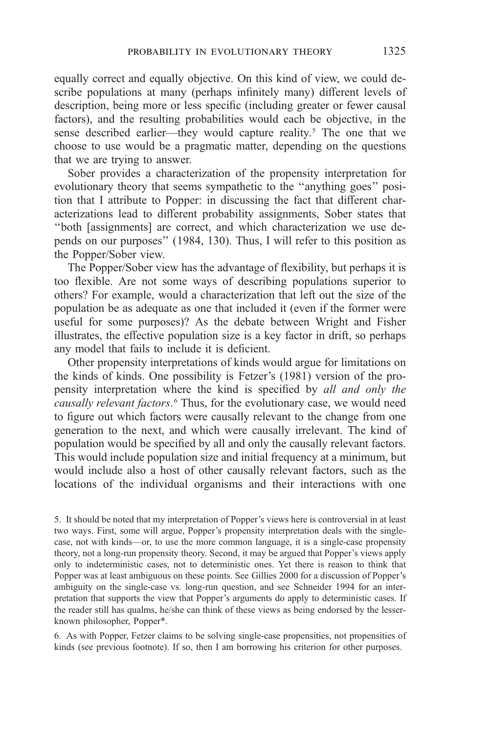equally correct and equally objective. On this kind of view, we could describe populations at many (perhaps infinitely many) different levels of description, being more or less specific (including greater or fewer causal factors), and the resulting probabilities would each be objective, in the sense described earlier—they would capture reality.<sup>5</sup> The one that we choose to use would be a pragmatic matter, depending on the questions that we are trying to answer.

Sober provides a characterization of the propensity interpretation for evolutionary theory that seems sympathetic to the ''anything goes'' position that I attribute to Popper: in discussing the fact that different characterizations lead to different probability assignments, Sober states that ''both [assignments] are correct, and which characterization we use depends on our purposes'' (1984, 130). Thus, I will refer to this position as the Popper/Sober view.

The Popper/Sober view has the advantage of flexibility, but perhaps it is too flexible. Are not some ways of describing populations superior to others? For example, would a characterization that left out the size of the population be as adequate as one that included it (even if the former were useful for some purposes)? As the debate between Wright and Fisher illustrates, the effective population size is a key factor in drift, so perhaps any model that fails to include it is deficient.

Other propensity interpretations of kinds would argue for limitations on the kinds of kinds. One possibility is Fetzer's (1981) version of the propensity interpretation where the kind is specified by all and only the causally relevant factors.<sup>6</sup> Thus, for the evolutionary case, we would need to figure out which factors were causally relevant to the change from one generation to the next, and which were causally irrelevant. The kind of population would be specified by all and only the causally relevant factors. This would include population size and initial frequency at a minimum, but would include also a host of other causally relevant factors, such as the locations of the individual organisms and their interactions with one

5. It should be noted that my interpretation of Popper's views here is controversial in at least two ways. First, some will argue, Popper's propensity interpretation deals with the singlecase, not with kinds—or, to use the more common language, it is a single-case propensity theory, not a long-run propensity theory. Second, it may be argued that Popper's views apply only to indeterministic cases, not to deterministic ones. Yet there is reason to think that Popper was at least ambiguous on these points. See Gillies 2000 for a discussion of Popper's ambiguity on the single-case vs. long-run question, and see Schneider 1994 for an interpretation that supports the view that Popper's arguments do apply to deterministic cases. If the reader still has qualms, he/she can think of these views as being endorsed by the lesserknown philosopher, Popper\*.

6. As with Popper, Fetzer claims to be solving single-case propensities, not propensities of kinds (see previous footnote). If so, then I am borrowing his criterion for other purposes.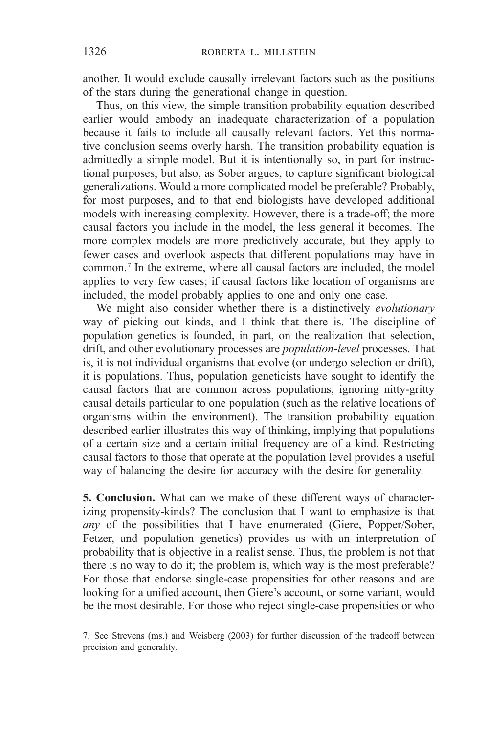another. It would exclude causally irrelevant factors such as the positions of the stars during the generational change in question.

Thus, on this view, the simple transition probability equation described earlier would embody an inadequate characterization of a population because it fails to include all causally relevant factors. Yet this normative conclusion seems overly harsh. The transition probability equation is admittedly a simple model. But it is intentionally so, in part for instructional purposes, but also, as Sober argues, to capture significant biological generalizations. Would a more complicated model be preferable? Probably, for most purposes, and to that end biologists have developed additional models with increasing complexity. However, there is a trade-off; the more causal factors you include in the model, the less general it becomes. The more complex models are more predictively accurate, but they apply to fewer cases and overlook aspects that different populations may have in common.7 In the extreme, where all causal factors are included, the model applies to very few cases; if causal factors like location of organisms are included, the model probably applies to one and only one case.

We might also consider whether there is a distinctively evolutionary way of picking out kinds, and I think that there is. The discipline of population genetics is founded, in part, on the realization that selection, drift, and other evolutionary processes are *population-level* processes. That is, it is not individual organisms that evolve (or undergo selection or drift), it is populations. Thus, population geneticists have sought to identify the causal factors that are common across populations, ignoring nitty-gritty causal details particular to one population (such as the relative locations of organisms within the environment). The transition probability equation described earlier illustrates this way of thinking, implying that populations of a certain size and a certain initial frequency are of a kind. Restricting causal factors to those that operate at the population level provides a useful way of balancing the desire for accuracy with the desire for generality.

5. Conclusion. What can we make of these different ways of characterizing propensity-kinds? The conclusion that I want to emphasize is that any of the possibilities that I have enumerated (Giere, Popper/Sober, Fetzer, and population genetics) provides us with an interpretation of probability that is objective in a realist sense. Thus, the problem is not that there is no way to do it; the problem is, which way is the most preferable? For those that endorse single-case propensities for other reasons and are looking for a unified account, then Giere's account, or some variant, would be the most desirable. For those who reject single-case propensities or who

<sup>7.</sup> See Strevens (ms.) and Weisberg (2003) for further discussion of the tradeoff between precision and generality.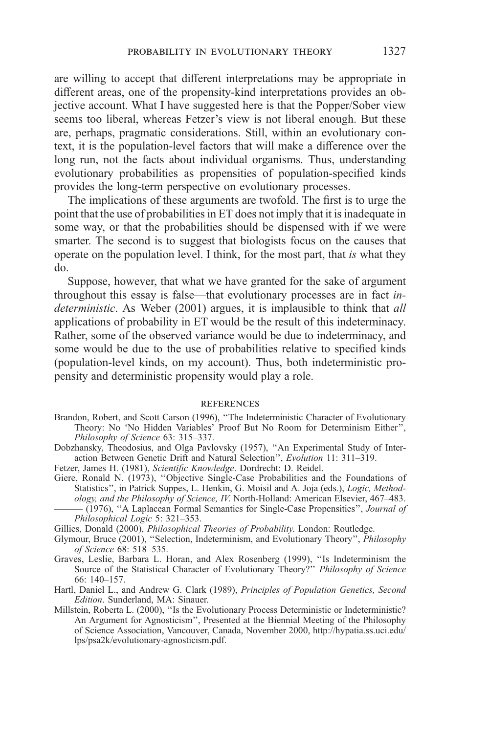are willing to accept that different interpretations may be appropriate in different areas, one of the propensity-kind interpretations provides an objective account. What I have suggested here is that the Popper/Sober view seems too liberal, whereas Fetzer's view is not liberal enough. But these are, perhaps, pragmatic considerations. Still, within an evolutionary context, it is the population-level factors that will make a difference over the long run, not the facts about individual organisms. Thus, understanding evolutionary probabilities as propensities of population-specified kinds provides the long-term perspective on evolutionary processes.

The implications of these arguments are twofold. The first is to urge the point that the use of probabilities in ET does not imply that it is inadequate in some way, or that the probabilities should be dispensed with if we were smarter. The second is to suggest that biologists focus on the causes that operate on the population level. I think, for the most part, that is what they do.

Suppose, however, that what we have granted for the sake of argument throughout this essay is false—that evolutionary processes are in fact indeterministic. As Weber (2001) argues, it is implausible to think that all applications of probability in ET would be the result of this indeterminacy. Rather, some of the observed variance would be due to indeterminacy, and some would be due to the use of probabilities relative to specified kinds (population-level kinds, on my account). Thus, both indeterministic propensity and deterministic propensity would play a role.

## **REFERENCES**

Brandon, Robert, and Scott Carson (1996), ''The Indeterministic Character of Evolutionary Theory: No 'No Hidden Variables' Proof But No Room for Determinism Either'', Philosophy of Science 63: 315–337.

Dobzhansky, Theodosius, and Olga Pavlovsky (1957), ''An Experimental Study of Interaction Between Genetic Drift and Natural Selection'', Evolution 11: 311–319.

Fetzer, James H. (1981), Scientific Knowledge. Dordrecht: D. Reidel.

Giere, Ronald N. (1973), ''Objective Single-Case Probabilities and the Foundations of Statistics'', in Patrick Suppes, L. Henkin, G. Moisil and A. Joja (eds.), Logic, Methodology, and the Philosophy of Science, IV. North-Holland: American Elsevier, 467–483.  $-(1976)$ , "A Laplacean Formal Semantics for Single-Case Propensities", *Journal of* Philosophical Logic 5: 321–353.

Gillies, Donald (2000), Philosophical Theories of Probability. London: Routledge.

Glymour, Bruce (2001), ''Selection, Indeterminism, and Evolutionary Theory'', Philosophy of Science 68: 518–535.

Graves, Leslie, Barbara L. Horan, and Alex Rosenberg (1999), ''Is Indeterminism the Source of the Statistical Character of Evolutionary Theory?'' Philosophy of Science 66: 140–157.

Hartl, Daniel L., and Andrew G. Clark (1989), Principles of Population Genetics, Second Edition. Sunderland, MA: Sinauer.

Millstein, Roberta L. (2000), ''Is the Evolutionary Process Deterministic or Indeterministic? An Argument for Agnosticism'', Presented at the Biennial Meeting of the Philosophy of Science Association, Vancouver, Canada, November 2000, http://hypatia.ss.uci.edu/ lps/psa2k/evolutionary-agnosticism.pdf.